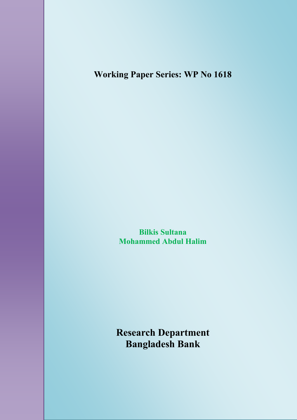# **Working Paper Series: WP No 1618**

# Analysing the Behavior of the Interest Rate **Spread** in Bangladesh

**Bilkis Sultana Mohammed Abdul Halim**

**Research Department Bangladesh Bank**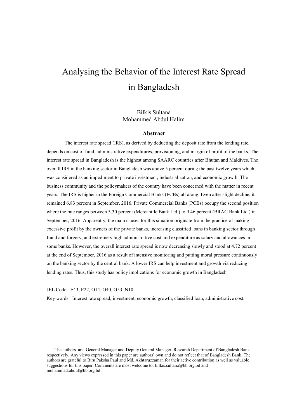# Analysing the Behavior of the Interest Rate Spread in Bangladesh

Bilkis Sultana Mohammed Abdul Halim

#### **Abstract**

The interest rate spread (IRS), as derived by deducting the deposit rate from the lending rate, depends on cost of fund, administrative expenditures, provisioning, and margin of profit of the banks. The interest rate spread in Bangladesh is the highest among SAARC countries after Bhutan and Maldives. The overall IRS in the banking sector in Bangladesh was above 5 percent during the past twelve years which was considered as an impediment to private investment, industrialization, and economic growth. The business community and the policymakers of the country have been concerned with the matter in recent years. The IRS is higher in the Foreign Commercial Banks (FCBs) all along. Even after slight decline, it remained 6.83 percent in September, 2016. Private Commercial Banks (PCBs) occupy the second position where the rate ranges between 3.30 percent (Mercantile Bank Ltd.) to 9.46 percent (BRAC Bank Ltd.) in September, 2016. Apparently, the main causes for this situation originate from the practice of making excessive profit by the owners of the private banks, increasing classified loans in banking sector through fraud and forgery, and extremely high administrative cost and expenditure as salary and allowances in some banks. However, the overall interest rate spread is now decreasing slowly and stood at 4.72 percent at the end of September, 2016 as a result of intensive monitoring and putting moral pressure continuously on the banking sector by the central bank. A lower IRS can help investment and growth via reducing lending rates. Thus, this study has policy implications for economic growth in Bangladesh.

JEL Code: E43, E22, O14, O40, O53, N10

Key words: Interest rate spread, investment, economic growth, classified loan, administrative cost.

The authors are General Manager and Deputy General Manager, Research Department of Bangladesh Bank respectively. Any views expressed in this paper are authors' own and do not reflect that of Bangladesh Bank. The authors are grateful to Biru Paksha Paul and Md. Akhtaruzzaman for their active contribution as well as valuable suggestions for this paper. Comments are most welcome to: [bilkis.sultana@bb.org.bd](mailto:bilkis.sultana@bb.org.bd) and mohammad.abdul@bb.org.bd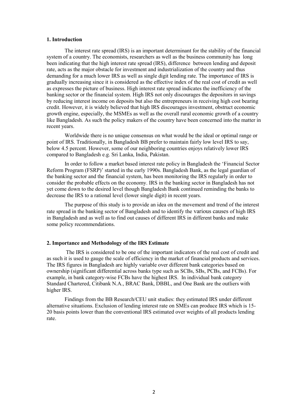#### **1. Introduction**

The interest rate spread (IRS) is an important determinant for the stability of the financial system of a country. The economists, researchers as well as the business community has long been indicating that the high interest rate spread (IRS), difference between lending and deposit rate, acts as the major obstacle for investment and industrialization of the country and thus demanding for a much lower IRS as well as single digit lending rate. The importance of IRS is gradually increasing since it is considered as the effective index of the real cost of credit as well as expresses the picture of business. High interest rate spread indicates the inefficiency of the banking sector or the financial system. High IRS not only discourages the depositors in savings by reducing interest income on deposits but also the entrepreneurs in receiving high cost bearing credit. However, it is widely believed that high IRS discourages investment, obstruct economic growth engine, especially, the MSMEs as well as the overall rural economic growth of a country like Bangladesh. As such the policy makers of the country have been concerned into the matter in recent years.

Worldwide there is no unique consensus on what would be the ideal or optimal range or point of IRS. Traditionally, in Bangladesh BB prefer to maintain fairly low level IRS to say, below 4.5 percent. However, some of our neighboring countries enjoys relatively lower IRS compared to Bangladesh e.g. Sri Lanka, India, Pakistan.

In order to follow a market based interest rate policy in Bangladesh the 'Financial Sector Reform Program (FSRP)' started in the early 1990s. Bangladesh Bank, as the legal guardian of the banking sector and the financial system, has been monitoring the IRS regularly in order to consider the probable effects on the economy. IRS in the banking sector in Bangladesh has not yet come down to the desired level though Bangladesh Bank continued reminding the banks to decrease the IRS to a rational level (lower single digit) in recent years.

The purpose of this study is to provide an idea on the movement and trend of the interest rate spread in the banking sector of Bangladesh and to identify the various causes of high IRS in Bangladesh and as well as to find out causes of different IRS in different banks and make some policy recommendations.

#### **2. Importance and Methodology of the IRS Estimate**

The IRS is considered to be one of the important indicators of the real cost of credit and as such it is used to gauge the scale of efficiency in the market of financial products and services. The IRS figures in Bangladesh are highly variable over different bank categories based on ownership (significant differential across banks type such as SCBs, SBs, PCBs, and FCBs). For example, in bank category-wise FCBs have the highest IRS. In individual bank category Standard Chartered, Citibank N.A., BRAC Bank, DBBL, and One Bank are the outliers with higher IRS.

Findings from the BB Research/CEU unit studies: they estimated IRS under different alternative situations. Exclusion of lending interest rate on SMEs can produce IRS which is 15- 20 basis points lower than the conventional IRS estimated over weights of all products lending rate.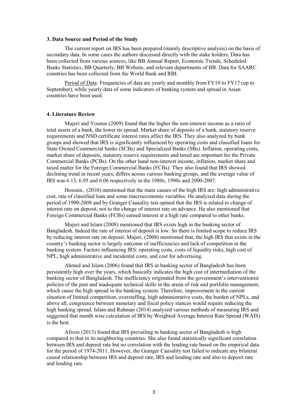#### **3. Data Source and Period of the Study**

The current report on IRS has been prepared (mainly descriptive analysis) on the basis of secondary data. In some cases the authors discussed directly with the stake holders. Data has been collected from various sources, like BB Annual Report, Economic Trends, Scheduled Banks Statistics, BB Quarterly, BB Website, and relevant departments of BB. Data for SAARC countries has been collected from the World Bank and RBI.

Period of Data: Frequencies of data are yearly and monthly from FY10 to FY17 (up to September), while yearly data of some indicators of banking system and spread in Asian countries have been used.

#### **4. Literature Review**

Mujeri and Younus (2009) found that the higher the non-interest income as a ratio of total assets of a bank, the lower its spread. Market share of deposits of a bank, statutory reserve requirements and NSD certificate interest rates affect the IRS. They also analyzed by bank groups and showed that IRS is significantly influenced by operating costs and classified loans for State Owned Commercial banks (SCBs) and Specialized Banks (SBs). Inflation, operating costs, market share of deposits, statutory reserve requirements and taxed are important for the Private Commercial Banks (PCBs). On the other hand non-interest income, inflation, market share and taxed matter for the Foreign Commercial Banks (FCBs). They also found that IRS showed declining trend in recent years, differs across various banking groups, and the average value of IRS was 6.13, 6.95 and 6.06 respectively in the 1980s, 1990s and 2000-2007.

Hossain, (2010) mentioned that the main causes of the high IRS are: high administrative cost, rate of classified loan and some macroeconomic variables. He analyzed data during the period of 1990-2008 and by Granger Causality test opined that the IRS is related to change of interest rate on deposit, not to the change of interest rate on advance. He also mentioned that Foreign Commercial Banks (FCBs) earned interest at a high rate compared to other banks.

Mujeri and Islam (2008) mentioned that IRS exists high in the banking sector of Bangladesh. Indeed the rate of interest of deposit is low. So there is limited scope to reduce IRS by reducing interest rate on deposit. Mujeri, (2008) mentioned that, the high IRS that exists in the country's banking sector is largely outcome of inefficiencies and lack of competition in the banking system. Factors influencing IRS: operating costs, costs of liquidity risks, high cost of NPL, high administrative and incidental costs, and cost for advertising.

Ahmed and Islam (2006) found that IRS in banking sector of Bangladesh has been persistently high over the years, which basically indicates the high cost of intermediation of the banking sector of Bangladesh. The inefficiency originated from the government's interventionist policies of the past and inadequate technical skills in the arena of risk and portfolio management, which cause the high spread in the banking system. Therefore, improvement in the current situation of limited competition, overstaffing, high administrative costs, the burden of NPLs, and above all, congruence between monetary and fiscal policy stances would require reducing the high banking spread. Islam and Rahman (2014) analyzed various methods of measuring IRS and suggested that month wise calculation of IRS by Weighted Average Interest Rate Spread (WAIS) is the best.

Afroze (2013) found that IRS prevailing in banking sector of Bangladesh is high compared to that in its neighboring countries. She also found statistically significant correlation between IRS and deposit rate but no correlation with the lending rate based on the empirical data for the period of 1974-2011. However, the Granger Causality test failed to indicate any bilateral causal relationship between IRS and deposit rate, IRS and lending rate and also to deposit rate and lending rate.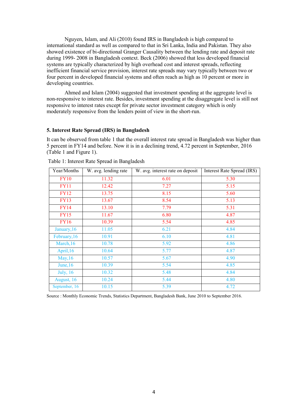Nguyen, Islam, and Ali (2010) found IRS in Bangladesh is high compared to international standard as well as compared to that in Sri Lanka, India and Pakistan. They also showed existence of bi-directional Granger Causality between the lending rate and deposit rate during 1999- 2008 in Bangladesh context. Beck (2006) showed that less developed financial systems are typically characterized by high overhead cost and interest spreads, reflecting inefficient financial service provision, interest rate spreads may vary typically between two or four percent in developed financial systems and often reach as high as 10 percent or more in developing countries.

Ahmed and Islam (2004) suggested that investment spending at the aggregate level is non-responsive to interest rate. Besides, investment spending at the disaggregate level is still not responsive to interest rates except for private sector investment category which is only moderately responsive from the lenders point of view in the short-run.

#### **5. Interest Rate Spread (IRS) in Bangladesh**

It can be observed from table 1 that the overall interest rate spread in Bangladesh was higher than 5 percent in FY14 and before. Now it is in a declining trend, 4.72 percent in September, 2016 (Table 1 and Figure 1).

| Year/Months      | W. avg. lending rate | W. avg. interest rate on deposit | <b>Interest Rate Spread (IRS)</b> |
|------------------|----------------------|----------------------------------|-----------------------------------|
| <b>FY10</b>      | 11.32                | 6.01                             | 5.30                              |
| <b>FY11</b>      | 12.42                | 7.27                             | 5.15                              |
| <b>FY12</b>      | 13.75                | 8.15                             | 5.60                              |
| <b>FY13</b>      | 13.67                | 8.54                             | 5.13                              |
| <b>FY14</b>      | 13.10                | 7.79                             | 5.31                              |
| <b>FY15</b>      | 11.67                | 6.80                             | 4.87                              |
| <b>FY16</b>      | 10.39                | 5.54                             | 4.85                              |
| January, 16      | 11.05                | 6.21                             | 4.84                              |
| February, 16     | 10.91                | 6.10                             | 4.81                              |
| March, 16        | 10.78                | 5.92                             | 4.86                              |
| April, 16        | 10.64                | 5.77                             | 4.87                              |
| May, 16          | 10.57                | 5.67                             | 4.90                              |
| June, $16$       | 10.39                | 5.54                             | 4.85                              |
| <b>July</b> , 16 | 10.32                | 5.48                             | 4.84                              |
| August, 16       | 10.24                | 5.44                             | 4.80                              |
| September, 16    | 10.15                | 5.39                             | 4.72                              |

Table 1: Interest Rate Spread in Bangladesh

Source : Monthly Economic Trends, Statistics Department, Bangladesh Bank, June 2010 to September 2016.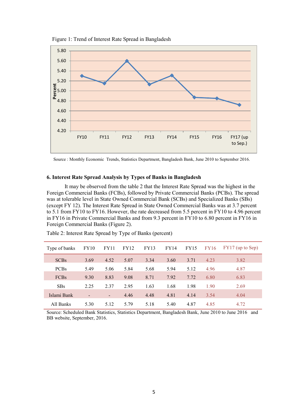

Figure 1: Trend of Interest Rate Spread in Bangladesh



#### **6. Interest Rate Spread Analysis by Types of Banks in Bangladesh**

It may be observed from the table 2 that the Interest Rate Spread was the highest in the Foreign Commercial Banks (FCBs), followed by Private Commercial Banks (PCBs). The spread was at tolerable level in State Owned Commercial Bank (SCBs) and Specialized Banks (SBs) (except FY 12). The Interest Rate Spread in State Owned Commercial Banks was at 3.7 percent to 5.1 from FY10 to FY16. However, the rate decreased from 5.5 percent in FY10 to 4.96 percent in FY16 in Private Commercial Banks and from 9.3 percent in FY10 to 6.80 percent in FY16 in Foreign Commercial Banks (Figure 2).

| Type of banks | FY10           | FY11           | FY12 | <b>FY13</b> | FY14 | <b>FY15</b> | <b>FY16</b> | $FY17$ (up to Sep) |
|---------------|----------------|----------------|------|-------------|------|-------------|-------------|--------------------|
| <b>SCBs</b>   | 3.69           | 4.52           | 5.07 | 3.34        | 3.60 | 3.71        | 4.23        | 3.82               |
| <b>PCBs</b>   | 5.49           | 5.06           | 5.84 | 5.68        | 5.94 | 5.12        | 4.96        | 4.87               |
| <b>FCBs</b>   | 9.30           | 8.83           | 9.08 | 8.71        | 7.92 | 7.72        | 6.80        | 6.83               |
| <b>SBs</b>    | 2.25           | 2.37           | 2.95 | 1.63        | 1.68 | 1.98        | 1.90        | 2.69               |
| Islami Bank   | $\blacksquare$ | $\blacksquare$ | 4.46 | 4.48        | 4.81 | 4.14        | 3.54        | 4.04               |
| All Banks     | 5.30           | 5.12           | 5.79 | 5.18        | 5.40 | 4.87        | 4.85        | 4.72               |

Table 2: Interest Rate Spread by Type of Banks (percent)

Source: Scheduled Bank Statistics, Statistics Department, Bangladesh Bank, June 2010 to June 2016 and BB website, September, 2016.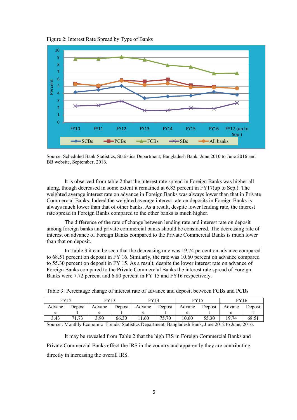Figure 2: Interest Rate Spread by Type of Banks



Source: Scheduled Bank Statistics, Statistics Department, Bangladesh Bank, June 2010 to June 2016 and BB website, September, 2016.

It is observed from table 2 that the interest rate spread in Foreign Banks was higher all along, though decreased in some extent it remained at 6.83 percent in FY17(up to Sep.). The weighted average interest rate on advance in Foreign Banks was always lower than that in Private Commercial Banks. Indeed the weighted average interest rate on deposits in Foreign Banks is always much lower than that of other banks. As a result, despite lower lending rate, the interest rate spread in Foreign Banks compared to the other banks is much higher.

The difference of the rate of change between lending rate and interest rate on deposit among foreign banks and private commercial banks should be considered. The decreasing rate of interest on advance of Foreign Banks compared to the Private Commercial Banks is much lower than that on deposit.

In Table 3 it can be seen that the decreasing rate was 19.74 percent on advance compared to 68.51 percent on deposit in FY 16. Similarly, the rate was 10.60 percent on advance compared to 55.30 percent on deposit in FY 15. As a result, despite the lower interest rate on advance of Foreign Banks compared to the Private Commercial Banks the interest rate spread of Foreign Banks were 7.72 percent and 6.80 percent in FY 15 and FY16 respectively.

| EV10   |        |        | <sup>T</sup> Y14 |        |        |        | $\mathrm{^{IV16}}$ |        |        |
|--------|--------|--------|------------------|--------|--------|--------|--------------------|--------|--------|
| Advanc | Deposi | Advanc | Deposi           | Advanc | Deposi | Advanc | Deposi             | Advanc | Deposi |
|        |        |        |                  |        |        |        |                    |        |        |

3.43 71.73 3.90 66.30 11.60 75.70 10.60 55.30 19.74 68.51

Table 3: Percentage change of interest rate of advance and deposit between FCBs and PCBs

Source : Monthly Economic Trends, Statistics Department, Bangladesh Bank, June 2012 to June, 2016.

It may be revealed from Table 2 that the high IRS in Foreign Commercial Banks and Private Commercial Banks effect the IRS in the country and apparently they are contributing directly in increasing the overall IRS.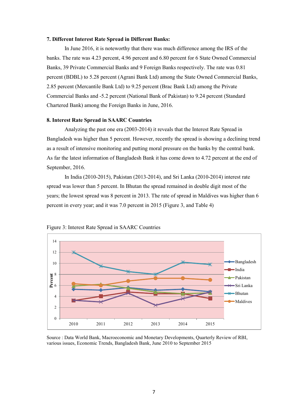#### **7. Different Interest Rate Spread in Different Banks:**

In June 2016, it is noteworthy that there was much difference among the IRS of the banks. The rate was 4.23 percent, 4.96 percent and 6.80 percent for 6 State Owned Commercial Banks, 39 Private Commercial Banks and 9 Foreign Banks respectively. The rate was 0.81 percent (BDBL) to 5.28 percent (Agrani Bank Ltd) among the State Owned Commercial Banks, 2.85 percent (Mercantile Bank Ltd) to 9.25 percent (Brac Bank Ltd) among the Private Commercial Banks and -5.2 percent (National Bank of Pakistan) to 9.24 percent (Standard Chartered Bank) among the Foreign Banks in June, 2016.

#### **8. Interest Rate Spread in SAARC Countries**

Analyzing the past one era (2003-2014) it reveals that the Interest Rate Spread in Bangladesh was higher than 5 percent. However, recently the spread is showing a declining trend as a result of intensive monitoring and putting moral pressure on the banks by the central bank. As far the latest information of Bangladesh Bank it has come down to 4.72 percent at the end of September, 2016.

In India (2010-2015), Pakistan (2013-2014), and Sri Lanka (2010-2014) interest rate spread was lower than 5 percent. In Bhutan the spread remained in double digit most of the years; the lowest spread was 8 percent in 2013. The rate of spread in Maldives was higher than 6 percent in every year; and it was 7.0 percent in 2015 (Figure 3, and Table 4)



Figure 3: Interest Rate Spread in SAARC Countries

Source : Data World Bank, Macroeconomic and Monetary Developments, Quarterly Review of RBI, various issues, Economic Trends, Bangladesh Bank, June 2010 to September 2015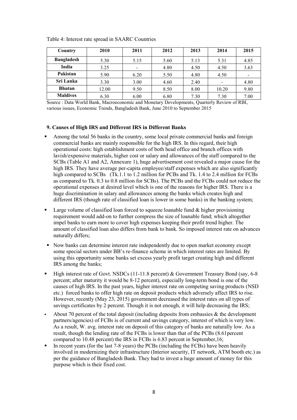| Country           | 2010  | 2011 | 2012 | 2013 | 2014                     | 2015                     |
|-------------------|-------|------|------|------|--------------------------|--------------------------|
| <b>Bangladesh</b> | 5.30  | 5.15 | 5.60 | 5.13 | 5.31                     | 4.85                     |
| India             | 3.25  |      | 4.80 | 4.50 | 4.50                     | 3.63                     |
| Pakistan          | 5.90  | 6.20 | 5.50 | 4.80 | 4.50                     | $\overline{\phantom{0}}$ |
| Sri Lanka         | 3.30  | 3.00 | 4.60 | 2.40 | $\overline{\phantom{0}}$ | 4.80                     |
| <b>Bhutan</b>     | 12.00 | 9.50 | 8.50 | 8.00 | 10.20                    | 9.80                     |
| <b>Maldives</b>   | 6.30  | 6.00 | 6.80 | 7.30 | 7.30                     | 7.00                     |

Table 4: Interest rate spread in SAARC Countries

Source : Data World Bank, Macroeconomic and Monetary Developments, Quarterly Review of RBI, various issues, Economic Trends, Bangladesh Bank, June 2010 to September 2015

#### **9. Causes of High IRS and Different IRS in Different Banks**

- Among the total 56 banks in the country, some local private commercial banks and foreign commercial banks are mainly responsible for the high IRS. In this regard, their high operational costs: high establishment costs of both head office and branch offices with lavish/expensive materials, higher cost or salary and allowances of the staff compared to the SCBs (Table A1 and A2, Annexure 1), huge advertisement cost revealed a major cause for the high IRS. They have average per-capita employee/staff expenses which are also significantly high compared to SCBs (Tk.1.1 to 1.2 million for PCBs and Tk. 1.4 to 2.4 million for FCBs as compared to Tk. 0.3 to 0.8 million for SCBs). The PCBs and the FCBs could not reduce the operational expenses at desired level which is one of the reasons for higher IRS. There is a huge discrimination in salary and allowances among the banks which creates high and different IRS (though rate of classified loan is lower in some banks) in the banking system;
- Large volume of classified loan forced to squeeze loanable fund  $\&$  higher provisioning requirement would add-on to further compress the size of loanable fund; which altogether impel banks to earn more to cover high expenses keeping their profit trend higher. The amount of classified loan also differs from bank to bank. So imposed interest rate on advances naturally differs;
- Now banks can determine interest rate independently due to open market economy except some special sectors under BB's re-finance scheme in which interest rates are limited. By using this opportunity some banks set excess yearly profit target creating high and different IRS among the banks;
- $\blacksquare$  High interest rate of Govt. NSDCs (11-11.8 percent) & Government Treasury Bond (say, 6-8) percent; after maturity it would be 8-12 percent), especially long-term bond is one of the causes of high IRS. In the past years, higher interest rate on competing saving products (NSD etc.) forced banks to offer high rate on deposit products which adversely affect IRS to rise. However, recently (May 23, 2015) government decreased the interest rates on all types of savings certificates by 2 percent. Though it is not enough, it will help decreasing the IRS;
- About 70 percent of the total deposit (including deposits from embassies  $\&$  the development partners/agencies) of FCBs is of current and savings category, interest of which is very low. As a result, W. avg. interest rate on deposit of this category of banks are naturally low. As a result, though the lending rate of the FCBs is lower than that of the PCBs (8.61percent compared to 10.48 percent) the IRS in FCBs is 6.83 percent in September,16;
- In recent years (for the last 7-8 years) the PCBs (including the FCBs) have been heavily involved in modernizing their infrastructure (Interior security, IT network, ATM booth etc.) as per the guidance of Bangladesh Bank. They had to invest a huge amount of money for this purpose which is their fixed cost.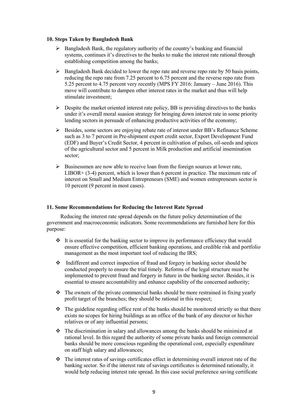#### **10. Steps Taken by Bangladesh Bank**

- $\triangleright$  Bangladesh Bank, the regulatory authority of the country's banking and financial systems, continues it's directives to the banks to make the interest rate rational through establishing competition among the banks;
- $\triangleright$  Bangladesh Bank decided to lower the repo rate and reverse repo rate by 50 basis points, reducing the repo rate from 7.25 percent to 6.75 percent and the reverse repo rate from 5.25 percent to 4.75 percent very recently (MPS FY 2016: January – June 2016). This move will contribute to dampen other interest rates in the market and thus will help stimulate investment;
- $\triangleright$  Despite the market oriented interest rate policy. BB is providing directives to the banks under it's overall moral suasion strategy for bringing down interest rate in some priority lending sectors in persuade of enhancing productive activities of the economy;
- $\triangleright$  Besides, some sectors are enjoying rebate rate of interest under BB's Refinance Scheme such as 3 to 7 percent in Pre-shipment export credit sector, Export Development Fund (EDF) and Buyer's Credit Sector, 4 percent in cultivation of pulses, oil-seeds and spices of the agricultural sector and 5 percent in Milk production and artificial insemination sector;
- $\triangleright$  Businessmen are now able to receive loan from the foreign sources at lower rate,  $LIBOR+ (3-4)$  percent, which is lower than 6 percent in practice. The maximum rate of interest on Small and Medium Entrepreneurs (SME) and women entrepreneurs sector is 10 percent (9 percent in most cases).

#### **11. Some Recommendations for Reducing the Interest Rate Spread**

 Reducing the interest rate spread depends on the future policy determination of the government and macroeconomic indicators. Some recommendations are furnished here for this purpose:

- $\div$  It is essential for the banking sector to improve its performance efficiency that would ensure effective competition, efficient banking operations, and credible risk and portfolio management as the most important tool of reducing the IRS;
- Indifferent and correct inspection of fraud and forgery in banking sector should be conducted properly to ensure the trial timely. Reforms of the legal structure must be implemented to prevent fraud and forgery in future in the banking sector. Besides, it is essential to ensure accountability and enhance capability of the concerned authority;
- $\cdot \cdot$  The owners of the private commercial banks should be more restrained in fixing yearly profit target of the branches; they should be rational in this respect;
- $\div$  The guideline regarding office rent of the banks should be monitored strictly so that there exists no scopes for hiring buildings as an office of the bank of any director or his/her relatives or of any influential persons;
- $\cdot \cdot$  The discrimination in salary and allowances among the banks should be minimized at rational level. In this regard the authority of some private banks and foreign commercial banks should be more conscious regarding the operational cost, especially expenditure on staff high salary and allowances;
- The interest rates of savings certificates effect in determining overall interest rate of the banking sector. So if the interest rate of savings certificates is determined rationally, it would help reducing interest rate spread. In this case social preference saving certificate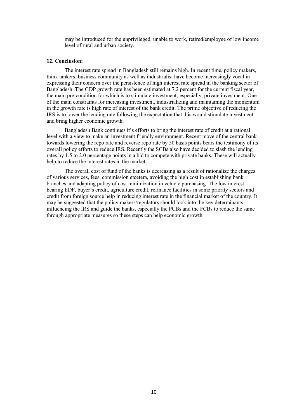may be introduced for the unprivileged, unable to work, retired/employee of low income level of rural and urban society.

#### **12. Conclusion:**

The interest rate spread in Bangladesh still remains high. In recent time, policy makers, think tankers, business community as well as industrialist have become increasingly vocal in expressing their concern over the persistence of high interest rate spread in the banking sector of Bangladesh. The GDP growth rate has been estimated at 7.2 percent for the current fiscal year, the main pre-condition for which is to stimulate investment; especially, private investment. One of the main constraints for increasing investment, industrializing and maintaining the momentum in the growth rate is high rate of interest of the bank credit. The prime objective of reducing the IRS is to lower the lending rate following the expectation that this would stimulate investment and bring higher economic growth.

Bangladesh Bank continues it's efforts to bring the interest rate of credit at a rational level with a view to make an investment friendly environment. Recent move of the central bank towards lowering the repo rate and reverse repo rate by 50 basis points bears the testimony of its overall policy efforts to reduce IRS. Recently the SCBs also have decided to slash the lending rates by 1.5 to 2.0 percentage points in a bid to compete with private banks. These will actually help to reduce the interest rates in the market.

The overall cost of fund of the banks is decreasing as a result of rationalize the charges of various services, fees, commission etcetera, avoiding the high cost in establishing bank branches and adapting policy of cost minimization in vehicle purchasing. The low interest bearing EDF, buyer's credit, agriculture credit, refinance facilities in some priority sectors and credit from foreign source help in reducing interest rate in the financial market of the country. It may be suggested that the policy makers/regulators should look into the key determinants influencing the IRS and guide the banks, especially the PCBs and the FCBs to reduce the same through appropriate measures so these steps can help economic growth.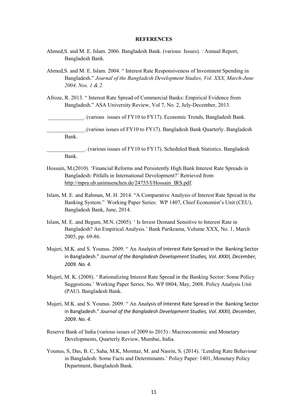#### **REFERENCES**

- Ahmed,S. and M. E. Islam. 2006. Bangladesh Bank. (various Issues). : Annual Report, Bangladesh Bank.
- Ahmed,S. and M. E. Islam. 2004. " Interest Rate Responsiveness of Investment Spending in Bangladesh." *Journal of the Bangladesh Development Studies, Vol. XXX, March-June 2004. Nos. 1 & 2.*
- Afroze, R. 2013. " Interest Rate Spread of Commercial Banks: Empirical Evidence from Bangladesh." ASA University Review, Vol 7, No. 2, July-December, 2013.

\_\_\_\_\_\_\_\_\_\_\_\_\_. (various issues of FY10 to FY17). Economic Trends, Bangladesh Bank.

\_\_\_\_\_\_\_\_\_\_\_\_\_\_.(various issues of FY10 to FY17). Bangladesh Bank Quarterly. Bangladesh Bank.

\_\_\_\_\_\_\_\_\_\_\_\_\_\_. (various issues of FY10 to FY17). Scheduled Bank Statistics. Bangladesh Bank.

- Hossain, M.(2010). 'Financial Reforms and Persistently High Bank Interest Rate Spreads in Bangladesh: Pitfalls in International Development?' Retrieved from [http://mpra.ub.unimuenchen.de/24755/I/Hossain\\_IRS.pdf.](http://mpra.ub.unimuenchen.de/24755/I/Hossain_IRS.pdf)
- Islam, M. E. and Rahman, M. H. 2014. "A Comparative Analysis of Interest Rate Spread in the Banking System." Working Paper Series: WP 1407, Chief Economist's Unit (CEU), Bangladesh Bank, June, 2014.
- Islam, M. E. and Begum, M.N. (2005). ' Is Invest Demand Sensitive to Interest Rate in Bangladesh? An Empirical Analysis.' Bank Parikrama, Volume XXX, No. 1, March 2005, pp. 69-86.
- Mujeri, M.K. and S. Younus. 2009. " An Analysis of Interest Rate Spread in the Banking Sector in Bangladesh." *Journal of the Bangladesh Development Studies, Vol. XXXII, December, 2009. No. 4.*
- Mujeri, M. K. (2008). ' Rationalizing Interest Rate Spread in the Banking Sector: Some Policy Suggestions.' Working Paper Series. No. WP 0804, May, 2008. Policy Analysis Unit (PAU). Bangladesh Bank.
- Mujeri, M.K. and S. Younus. 2009. " An Analysis of Interest Rate Spread in the Banking Sector in Bangladesh." *Journal of the Bangladesh Development Studies, Vol. XXXII, December, 2009. No. 4.*
- Reserve Bank of India (various issues of 2009 to 2015) : Macroeconomic and Monetary Developments, Quarterly Review, Mumbai, India.
- Younus, S, Das, B. C, Saha, M.K, Momtaz, M. and Nasrin, S. (2014). 'Lending Rate Behaviour in Bangladesh: Some Facts and Determinants.' Policy Paper: 1401, Monetary Policy Department, Bangladesh Bank.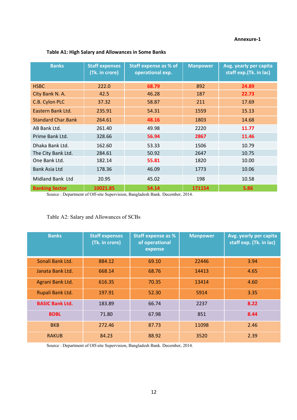#### **Annexure-1**

| <b>Banks</b>              | <b>Staff expenses</b><br>(Tk. in crore) | <b>Staff expense as % of</b><br>operational exp. | <b>Manpower</b> | Avg. yearly per capita<br>staff exp.(Tk. in lac) |
|---------------------------|-----------------------------------------|--------------------------------------------------|-----------------|--------------------------------------------------|
| <b>HSBC</b>               | 222.0                                   | 68.79                                            | 892             | 24.89                                            |
| City Bank N. A.           | 42.5                                    | 46.28                                            | 187             | 22.73                                            |
| C.B. Cylon PLC            | 37.32                                   | 58.87                                            | 211             | 17.69                                            |
| Eastern Bank Ltd.         | 235.91                                  | 54.31                                            | 1559            | 15.13                                            |
| <b>Standard Char.Bank</b> | 264.61                                  | 48.16                                            | 1803            | 14.68                                            |
| AB Bank Ltd.              | 261.40                                  | 49.98                                            | 2220            | 11.77                                            |
| Prime Bank Ltd.           | 328.66                                  | 56.94                                            | 2867            | 11.46                                            |
| Dhaka Bank Ltd.           | 162.60                                  | 53.33                                            | 1506            | 10.79                                            |
| The City Bank Ltd.        | 284.61                                  | 50.92                                            | 2647            | 10.75                                            |
| One Bank Ltd.             | 182.14                                  | 55.81                                            | 1820            | 10.00                                            |
| <b>Bank Asia Ltd</b>      | 178.36                                  | 46.09                                            | 1773            | 10.06                                            |
| Midland Bank Ltd          | 20.95                                   | 45.02                                            | 198             | 10.58                                            |
| <b>Banking Sector</b>     | 10021.85                                | 54.14                                            | 171154          | 5.86                                             |

## **Table A1: High Salary and Allowances in Some Banks**

Source : Department of Off-site Supervision, Bangladesh Bank. December, 2014.

## Table A2: Salary and Allowances of SCBs

| <b>Banks</b>           | <b>Staff expenses</b><br>(Tk. in crore) | <b>Staff expense as %</b><br>of operational<br>expense | <b>Manpower</b> | <b>Avg. yearly per capita</b><br>staff exp. (Tk. in lac) |
|------------------------|-----------------------------------------|--------------------------------------------------------|-----------------|----------------------------------------------------------|
| Sonali Bank Ltd.       | 884.12                                  | 69.10                                                  | 22446           | 3.94                                                     |
| Janata Bank Ltd.       | 668.14                                  | 68.76                                                  | 14413           | 4.65                                                     |
| Agrani Bank Ltd.       | 616.35                                  | 70.35                                                  | 13414           | 4.60                                                     |
| Rupali Bank Ltd.       | 197.91                                  | 52.30                                                  | 5914            | 3.35                                                     |
| <b>BASIC Bank Ltd.</b> | 183.89                                  | 66.74                                                  | 2237            | 8.22                                                     |
| <b>BDBL</b>            | 71.80                                   | 67.98                                                  | 851             | 8.44                                                     |
| <b>BKB</b>             | 272.46                                  | 87.73                                                  | 11098           | 2.46                                                     |
| <b>RAKUB</b>           | 84.23                                   | 88.92                                                  | 3520            | 2.39                                                     |

Source : Department of Off-site Supervision, Bangladesh Bank. December, 2014.